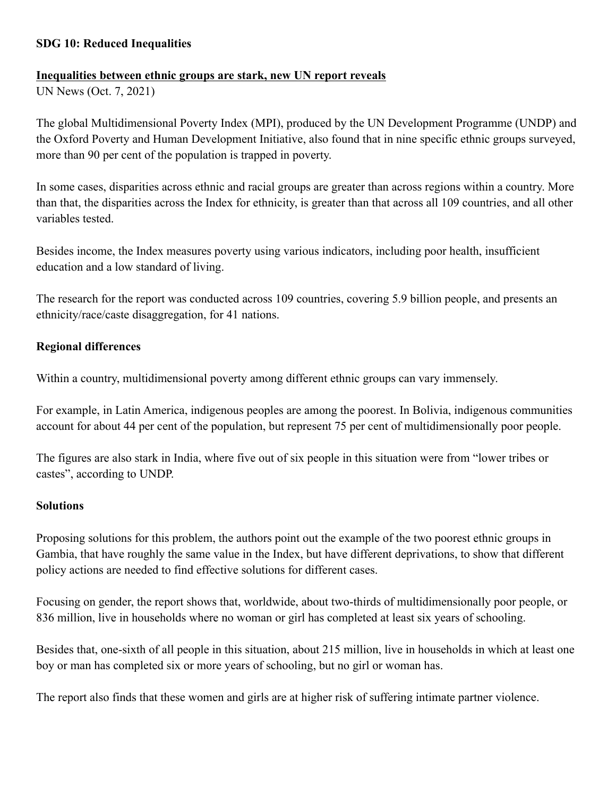### **SDG 10: Reduced Inequalities**

### **Inequalities between ethnic groups are stark, new UN report reveals**

UN News (Oct. 7, 2021)

The global Multidimensional Poverty Index (MPI), produced by the UN Development Programme (UNDP) and the Oxford Poverty and Human Development Initiative, also found that in nine specific ethnic groups surveyed, more than 90 per cent of the population is trapped in poverty.

In some cases, disparities across ethnic and racial groups are greater than across regions within a country. More than that, the disparities across the Index for ethnicity, is greater than that across all 109 countries, and all other variables tested.

Besides income, the Index measures poverty using various indicators, including poor health, insufficient education and a low standard of living.

The research for the report was conducted across 109 countries, covering 5.9 billion people, and presents an ethnicity/race/caste disaggregation, for 41 nations.

### **Regional differences**

Within a country, multidimensional poverty among different ethnic groups can vary immensely.

For example, in Latin America, indigenous peoples are among the poorest. In Bolivia, indigenous communities account for about 44 per cent of the population, but represent 75 per cent of multidimensionally poor people.

The figures are also stark in India, where five out of six people in this situation were from "lower tribes or castes", according to UNDP.

### **Solutions**

Proposing solutions for this problem, the authors point out the example of the two poorest ethnic groups in Gambia, that have roughly the same value in the Index, but have different deprivations, to show that different policy actions are needed to find effective solutions for different cases.

Focusing on gender, the report shows that, worldwide, about two-thirds of multidimensionally poor people, or 836 million, live in households where no woman or girl has completed at least six years of schooling.

Besides that, one-sixth of all people in this situation, about 215 million, live in households in which at least one boy or man has completed six or more years of schooling, but no girl or woman has.

The report also finds that these women and girls are at higher risk of suffering intimate partner violence.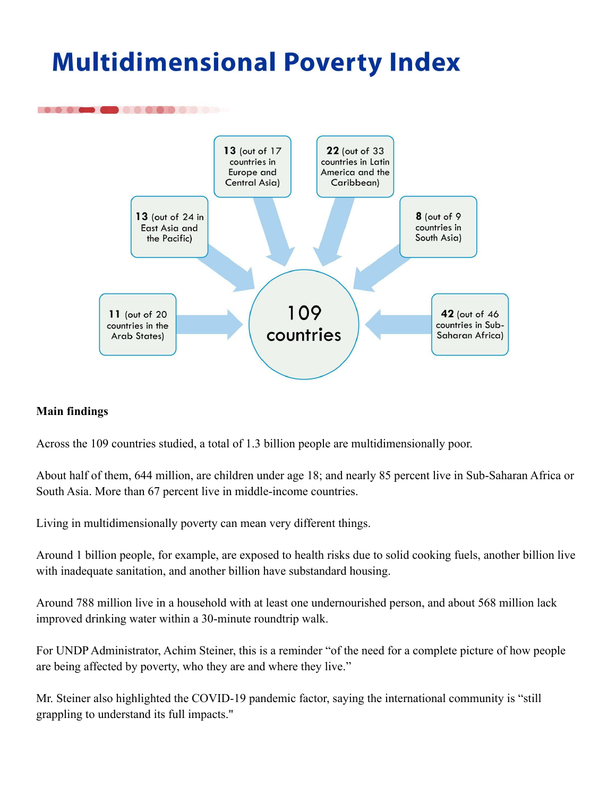# **Multidimensional Poverty Index**



### **Main findings**

Across the 109 countries studied, a total of 1.3 billion people are multidimensionally poor.

About half of them, 644 million, are children under age 18; and nearly 85 percent live in Sub-Saharan Africa or South Asia. More than 67 percent live in middle-income countries.

Living in multidimensionally poverty can mean very different things.

Around 1 billion people, for example, are exposed to health risks due to solid cooking fuels, another billion live with inadequate sanitation, and another billion have substandard housing.

Around 788 million live in a household with at least one undernourished person, and about 568 million lack improved drinking water within a 30-minute roundtrip walk.

For UNDP Administrator, Achim Steiner, this is a reminder "of the need for a complete picture of how people are being affected by poverty, who they are and where they live."

Mr. Steiner also highlighted the COVID-19 pandemic factor, saying the international community is "still grappling to understand its full impacts."